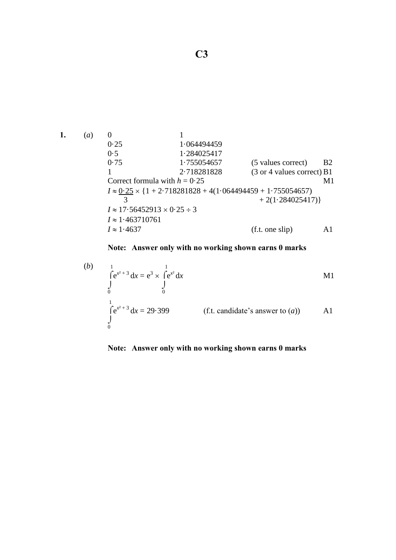1. (a) 0  
\n0.25 1.064494459  
\n0.5 1.284025417  
\n0.75 1.755054657 (5 values correct) B2  
\n1 2.718281828 (3 or 4 values correct) B1  
\nCorrect formula with 
$$
h = 0.25
$$
  
\n $I \approx 0.25 \times \{1 + 2.718281828 + 4(1.064494459 + 1.755054657) + 2(1.284025417)\}\$   
\n $I \approx 17.56452913 \times 0.25 \div 3$   
\n $I \approx 1.463710761$   
\n $I \approx 1.4637$  (f.t. one slip) A1

**Note: Answer only with no working shown earns 0 marks** 

(b) 
$$
\int_{0}^{1} e^{x^2+3} dx = e^3 \times \int_{0}^{1} e^{x^2} dx
$$
  
\n $\int_{0}^{1} e^{x^2+3} dx = 29.399$  (f.t. candidate's answer to (*a*)) A1

## **Note: Answer only with no working shown earns 0 marks**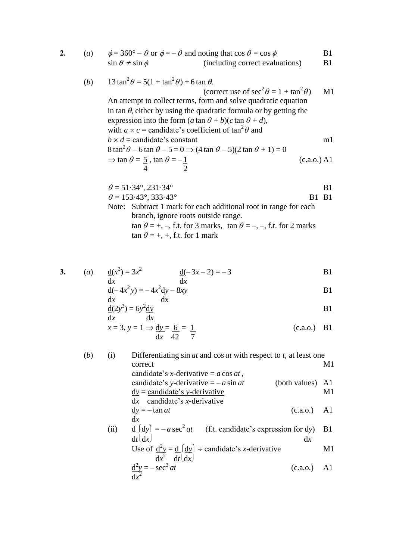**2.** (*a*)  $\phi = 360^\circ - \theta$  or  $\phi = -\theta$  and noting that  $\cos \theta = \cos \phi$  B1  $\sin \theta \neq \sin \phi$  (including correct evaluations) B1

(b) 
$$
13 \tan^2 \theta = 5(1 + \tan^2 \theta) + 6 \tan \theta
$$
.  
(correct use of  $\sec^2 \theta = 1 + \tan^2 \theta$ ) M1

An attempt to collect terms, form and solve quadratic equation in tan  $\theta$ , either by using the quadratic formula or by getting the expression into the form  $(a \tan \theta + b)(c \tan \theta + d)$ , with  $a \times c$  = candidate's coefficient of  $\tan^2 \theta$  and  $b \times d$  = candidate's constant m1  $8 \tan^2 \theta - 6 \tan \theta - 5 = 0 \Rightarrow (4 \tan \theta - 5)(2 \tan \theta + 1) = 0$  $\Rightarrow$  tan  $\theta = 5$ , tan  $\theta = -1$  (c.a.o.) A1

$$
\theta = 51.34^{\circ}, 231.34^{\circ}
$$
 B1  
\n
$$
\theta = 153.43^{\circ}, 333.43^{\circ}
$$
 B1 B1  
\nNote: Subtract 1 mark for each additional root in range for each  
\nbranch, ignore roots outside range.  
\n $\tan \theta = +, -$ , f.t. for 3 marks,  $\tan \theta = -, -$ , f.t. for 2 marks  
\n $\tan \theta = +, +$ , f.t. for 1 mark

3. (a) 
$$
\frac{d(x^3)}{dx} = 3x^2
$$
  $\frac{d(-3x-2)}{dx} = -3$  B1

4 2

$$
\underline{d}(-4x^2y) = -4x^2 \underline{dy} - 8xy
$$
 B1

$$
\frac{d(2y^3)}{dx} = 6y^2 \frac{dy}{dx}
$$

$$
x = 3, y = 1 \Rightarrow \frac{dy}{dx} = \frac{6}{42} = \frac{1}{7}
$$
 (c.a.o.) B1

(*b*) (i) Differentiating sin *at* and cos *at* with respect to *t,* at least one correct M1 candidate's *x*-derivative = *a* cos *at* , candidate's *y*-derivative = – *a* sin *at* (both values) A1 d*y* = candidate's *y*-derivative M1 d*x* candidate's *x*-derivative d*y* = – tan *at* (c.a.o.) A1 d*x*  (ii) d d*y* = – *a* sec 2 *at* (f.t. candidate's expression for d*y*) B1 d*t*d*x* d*x* Use of d 2 *y* = d d*y* candidate's *x*-derivative M1 d*x* 2 d*t*d*x*  d 2 *y* = – sec<sup>3</sup> *at* (c.a.o.) A1 d*x* 2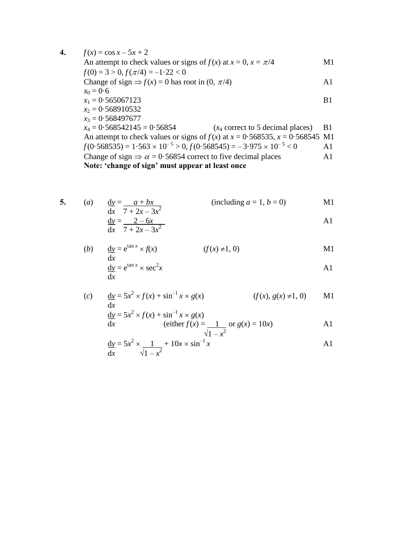**4.**  $f(x) = \cos x - 5x + 2$ An attempt to check values or signs of  $f(x)$  at  $x = 0$ ,  $x = \pi/4$  M1  $f(0) = 3 > 0, f(\pi/4) = -1.22 < 0$ Change of sign  $\Rightarrow$   $f(x) = 0$  has root in (0,  $\pi/4$ ) A1  $x_0 = 0.6$  $x_1 = 0.565067123$  B1  $x_2 = 0.568910532$  $x_3 = 0.568497677$ <br> $x_4 = 0.568542145 = 0.56854$  $(x_4$  correct to 5 decimal places) B1 An attempt to check values or signs of  $f(x)$  at  $x = 0.568535$ ,  $x = 0.568545$  M1  $f(0.568535) = 1.563 \times 10^{-5} > 0, f(0.568545) = -3.975 \times 10^{-5} < 0$  A1 Change of sign  $\Rightarrow \alpha = 0.56854$  correct to five decimal places A1

**Note: 'change of sign' must appear at least once**

5. (a) 
$$
\frac{dy}{dx} = \frac{a + bx}{7 + 2x - 3x^2}
$$
 (including  $a = 1, b = 0$ )  
\n $\frac{dy}{dx} = \frac{2 - 6x}{x}$ 

$$
\frac{\text{d}y}{\text{d}x} = \frac{2 - 6x}{7 + 2x - 3x^2}
$$

(b) 
$$
\frac{dy}{dx} = e^{\tan x} \times f(x)
$$
   
 (f(x) \ne 1, 0)   
 M1

$$
\frac{dy}{dx} = e^{\tan x} \times \sec^2 x
$$

(c) 
$$
\frac{dy}{dx} = 5x^2 \times f(x) + \sin^{-1} x \times g(x)
$$
   
  $(f(x), g(x) \neq 1, 0)$  M1

$$
\frac{dy}{dx} = 5x^2 \times f(x) + \sin^{-1} x \times g(x)
$$
  
(either  $f(x) = \underline{1}$  or  $g(x) = 10x$ ) A1

$$
\frac{dy}{dx} = 5x^2 \times \frac{1}{\sqrt{1 - x^2}} + 10x \times \sin^{-1} x
$$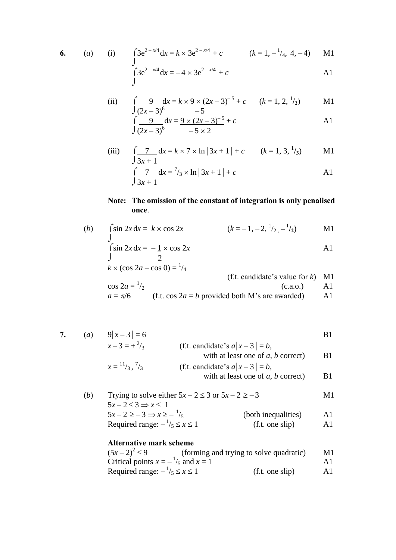6. (a) (i) 
$$
\int 3e^{2-x/4} dx = k \times 3e^{2-x/4} + c
$$
  $(k = 1, -\frac{1}{4}, 4, -4)$  M1  
\n $\int 3e^{2-x/4} dx = -4 \times 3e^{2-x/4} + c$  A1

(ii) 
$$
\int \frac{9}{(2x-3)^6} dx = \frac{k \times 9 \times (2x-3)^{-5}}{-5} + c \qquad (k = 1, 2, \frac{1}{2})
$$
 M1

$$
\int \frac{9}{(2x-3)^6} dx = \frac{9 \times (2x-3)^{-5}}{-5 \times 2} + c
$$

(iii) 
$$
\int \frac{7}{3x+1} dx = k \times 7 \times \ln |3x+1| + c
$$
  $(k = 1, 3, \frac{1}{3})$  M1

$$
\int \frac{7}{3x+1} dx = \frac{7}{3} \times \ln |3x+1| + c
$$
 A1

## **Note: The omission of the constant of integration is only penalised once**.

(b) 
$$
\int \sin 2x \, dx = k \times \cos 2x
$$
  $(k = -1, -2, \frac{1}{2}, -\frac{1}{2})$  M1

$$
\int \sin 2x \, dx = -\frac{1}{2} \times \cos 2x
$$
  
\n
$$
\int x \times (\cos 2a - \cos 0) = \frac{1}{4}
$$

(f.t. candidate's value for k) M1  
\n
$$
\cos 2a = \frac{1}{2}
$$
\n
$$
a = \pi/6
$$
\n(f.t. cos 2a = b provided both M's are awarded) A1

$$
a = \pi/6
$$
 (f.t.  $\cos 2a = b$  provided both M's are awarded) A1

7. (a) 
$$
9|x-3| = 6
$$
  
\n $x-3 = \pm \frac{2}{3}$   
\n $x = \frac{11}{3}, \frac{7}{3}$   
\n  
\n81  
\n52  
\n53  
\n64  
\n65  
\n66  
\n7.  $x = \pm \frac{2}{3}$   
\n7.  $x = \pm \frac{2}{3}$   
\n81  
\n66  
\n67.  $x = 3$   
\n68.  $x = 3$   
\n69.  $x = 1$   
\n70.  $x = \frac{11}{3}, \frac{7}{3}$   
\n81  
\n92.  $x = \pm \frac{2}{3}$   
\n15.  $x = \frac{11}{3}, \frac{7}{3}$   
\n16.  $x = 1$   
\n16.  $x = 1$   
\n16.  $x = 1$   
\n16.  $x = 1$   
\n16.  $x = 1$   
\n17.  $x = \frac{11}{3}, \frac{7}{3}$   
\n18.  $x = \frac{11}{3}, \frac{7}{3}$   
\n19.  $x = \frac{11}{3}$   
\n10.  $x = \frac{11}{3}$   
\n11.  $x = \frac{11}{3}$   
\n12.  $x = \frac{11}{3}$   
\n13.  $x = \frac{11}{3}$   
\n14.  $x = 1$   
\n15.  $x = \frac{11}{3}$   
\n16.  $x = \frac{11}{3}$   
\n17.  $x = \frac{11}{3}$   
\n18.  $x = \frac{11}{3}$   
\n19.  $x = \frac{11}{3}$   
\n10.  $x = \frac{11}{3}$   
\n11.  $x = \frac{11}{3}$   
\n12.  $x = \frac{11}{3}$   
\n13.  $x = \frac{11}{3}$   
\n14.  $x = \frac{11}{3}$   
\n15.  $x = \frac{11}{3}$   
\n16.  $x = \frac{11}{3}$   
\n17.  $x =$ 

| (b) | Trying to solve either $5x - 2 \le 3$ or $5x - 2 \ge -3$ |                     | M1            |  |
|-----|----------------------------------------------------------|---------------------|---------------|--|
|     | $5x-2\leq 3 \Rightarrow x\leq 1$                         |                     |               |  |
|     | $5x-2\ge-3 \Rightarrow x\ge -\frac{1}{5}$                | (both inequalities) | $\mathbf{A}1$ |  |
|     | Required range: $-\frac{1}{5} \le x \le 1$               | (f.t. one slip)     | A1            |  |

## **Alternative mark scheme**

| $(5x-2)^2 \le 9$                               | (forming and trying to solve quadratic) | M1  |
|------------------------------------------------|-----------------------------------------|-----|
| Critical points $x = -\frac{1}{5}$ and $x = 1$ |                                         | A 1 |
| Required range: $-\frac{1}{5} \le x \le 1$     | (f.t. one slip)                         | A1  |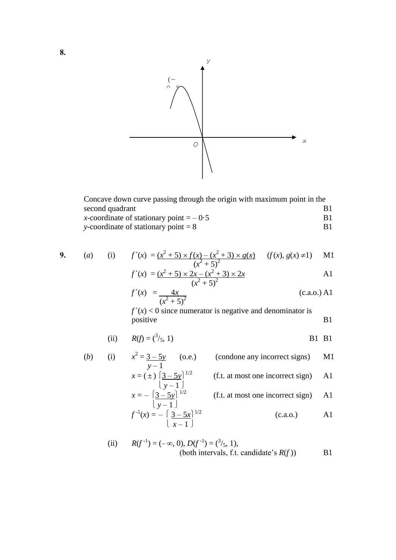

| Concave down curve passing through the origin with maximum point in the |                |
|-------------------------------------------------------------------------|----------------|
| second quadrant                                                         | B <sub>1</sub> |
| x-coordinate of stationary point $=$ $-0.5$                             | <b>B</b> 1     |
| y-coordinate of stationary point $= 8$                                  | R1             |

**9.** (a) (i) 
$$
f'(x) = (x^2 + 5) \times f(x) - (x^2 + 3) \times g(x)
$$
  $(f(x), g(x) \neq 1)$  M1

$$
f'(x) = \frac{(x^2 + 5) \times 2x - (x^2 + 3) \times 2x}{(x^2 + 5)^2}
$$

$$
f'(x) = \frac{4x}{(x^2 + 5)^2}
$$
 (c.a.o.) A1

 $f'(x) < 0$  since numerator is negative and denominator is positive B1

(ii) 
$$
R(f) = {^{3}}/_{5}, 1
$$
 B11

(b) (i) 
$$
x^2 = \frac{3-5y}{y-1}
$$
 (o.e.) (condone any incorrect signs) M1  
\n $x = (\pm) \left[\frac{3-5y}{y-1}\right]^{1/2}$  (f.t. at most one incorrect sign) A1  
\n $x = -\left[\frac{3-5y}{y-1}\right]^{1/2}$  (f.t. at most one incorrect sign) A1  
\n $\left[\frac{1}{y-1}\right]$  (c.a.o.) A1  
\n $\left[\frac{3-5x}{x-1}\right]^{1/2}$  (c.a.o.) A1

(ii) 
$$
R(f^{-1}) = (-\infty, 0), D(f^{-1}) = {^{3}}/_{5}, 1),
$$
  
(both intervals, f.t. candidate's  $R(f)$ ) B1